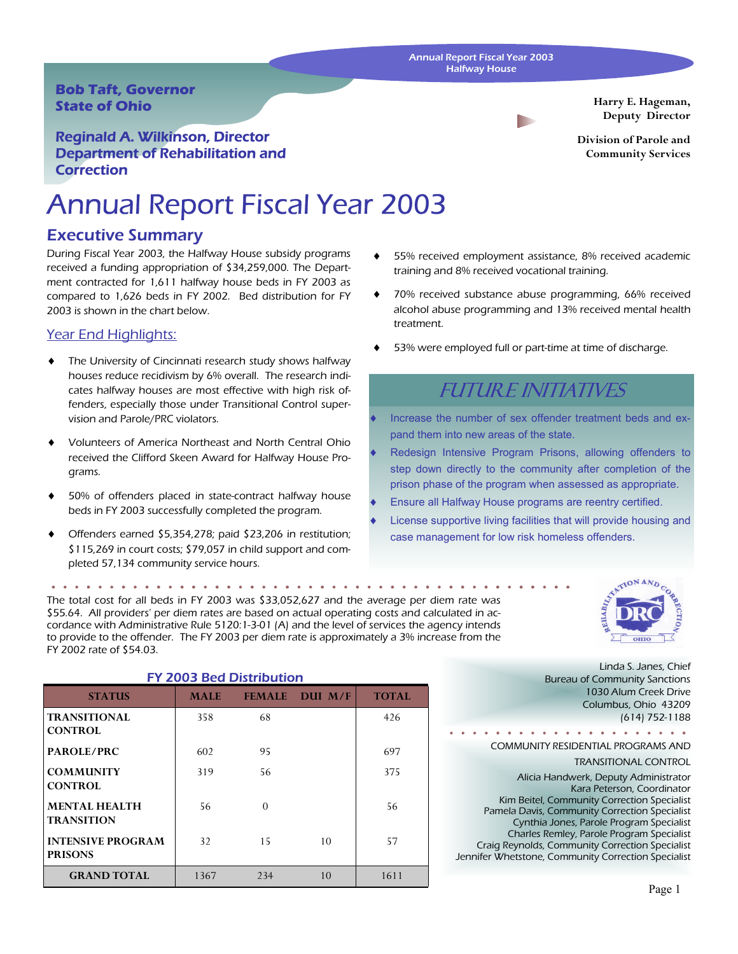#### Annual Report Fiscal Year 2003 Halfway House

### **Bob Taft, Governor State of Ohio**

Reginald A. Wilkinson, Director Department of Rehabilitation and **Correction** 

# Annual Report Fiscal Year 2003

### Executive Summary

During Fiscal Year 2003, the Halfway House subsidy programs received a funding appropriation of \$34,259,000. The Department contracted for 1,611 halfway house beds in FY 2003 as compared to 1,626 beds in FY 2002. Bed distribution for FY 2003 is shown in the chart below.

### Year End Highlights:

- The University of Cincinnati research study shows halfway houses reduce recidivism by 6% overall. The research indicates halfway houses are most effective with high risk offenders, especially those under Transitional Control supervision and Parole/PRC violators.
- Volunteers of America Northeast and North Central Ohio received the Clifford Skeen Award for Halfway House Programs.
- 50% of offenders placed in state-contract halfway house beds in FY 2003 successfully completed the program.
- Offenders earned \$5,354,278; paid \$23,206 in restitution; \$115,269 in court costs; \$79,057 in child support and completed 57,134 community service hours.

The total cost for all beds in FY 2003 was \$33,052,627 and the average per diem rate was \$55.64. All providers' per diem rates are based on actual operating costs and calculated in accordance with Administrative Rule 5120:1-3-01 (A) and the level of services the agency intends to provide to the offender. The FY 2003 per diem rate is approximately a 3% increase from the FY 2002 rate of \$54.03.

| <b>FY 2003 Bed Distribution</b>            |             |               |          |              |  |  |  |  |
|--------------------------------------------|-------------|---------------|----------|--------------|--|--|--|--|
| <b>STATUS</b>                              | <b>MALE</b> | <b>FEMALE</b> | DIII M/F | <b>TOTAL</b> |  |  |  |  |
| <b>TRANSITIONAL</b><br><b>CONTROL</b>      | 358         | 68            |          | 426          |  |  |  |  |
| PAROLE/PRC                                 | 602         | 95            |          | 697          |  |  |  |  |
| <b>COMMUNITY</b><br><b>CONTROL</b>         | 319         | 56            |          | 375          |  |  |  |  |
| <b>MENTAL HEALTH</b><br><b>TRANSITION</b>  | 56          | $\Omega$      |          | 56           |  |  |  |  |
| <b>INTENSIVE PROGRAM</b><br><b>PRISONS</b> | 32          | 15            | 10       | 57           |  |  |  |  |

**GRAND TOTAL** | 1367 234 10 | 1611

**Harry E. Hageman, Deputy Director** 

**Division of Parole and Community Services** 

- 55% received employment assistance, 8% received academic training and 8% received vocational training.
- 70% received substance abuse programming, 66% received alcohol abuse programming and 13% received mental health treatment.
- 53% were employed full or part-time at time of discharge.

### **FUTURE INITIATIVES**

- Increase the number of sex offender treatment beds and expand them into new areas of the state.
- Redesign Intensive Program Prisons, allowing offenders to step down directly to the community after completion of the prison phase of the program when assessed as appropriate.
- Ensure all Halfway House programs are reentry certified.
- License supportive living facilities that will provide housing and case management for low risk homeless offenders.



Linda S. Janes, Chief Bureau of Community Sanctions 1030 Alum Creek Drive Columbus, Ohio 43209 (614) 752-1188 . . . . . . . . . . . . . . . . COMMUNITY RESIDENTIAL PROGRAMS AND

TRANSITIONAL CONTROL

Alicia Handwerk, Deputy Administrator Kara Peterson, Coordinator Kim Beitel, Community Correction Specialist Pamela Davis, Community Correction Specialist Cynthia Jones, Parole Program Specialist Charles Remley, Parole Program Specialist Craig Reynolds, Community Correction Specialist Jennifer Whetstone, Community Correction Specialist

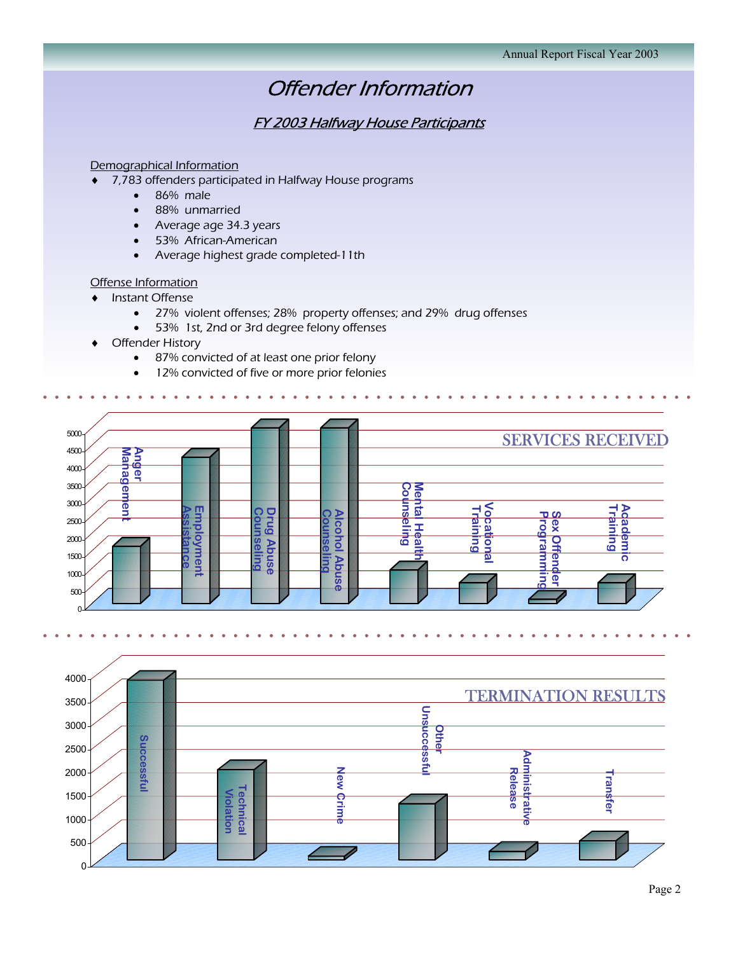### Offender Information

### FY 2003 Halfway House Participants

### Demographical Information

- ♦ 7,783 offenders participated in Halfway House programs
	- 86% male
	- 88% unmarried
	- Average age 34.3 years
	- 53% African-American
	- Average highest grade completed-11th

#### Offense Information

- ♦ Instant Offense
	- 27% violent offenses; 28% property offenses; and 29% drug offenses
	- 53% 1st, 2nd or 3rd degree felony offenses
- ♦ Offender History
	- 87% convicted of at least one prior felony
	- 12% convicted of five or more prior felonies



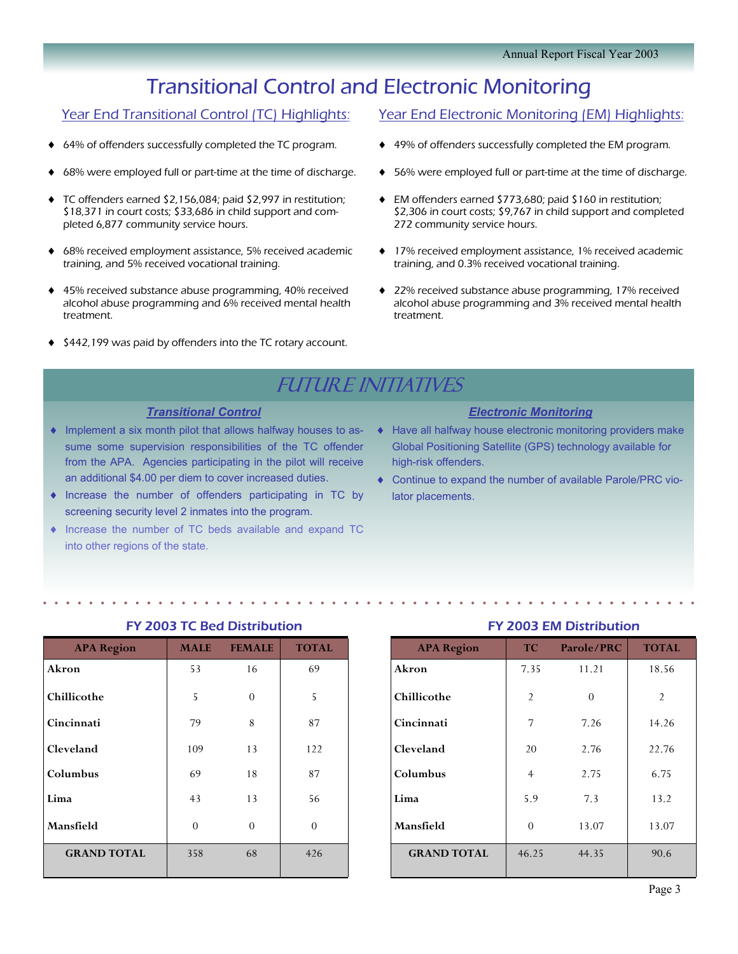## Transitional Control and Electronic Monitoring

### Year End Transitional Control (TC) Highlights:

- 64% of offenders successfully completed the TC program.
- 68% were employed full or part-time at the time of discharge.
- TC offenders earned \$2,156,084; paid \$2,997 in restitution; \$18,371 in court costs; \$33,686 in child support and completed 6,877 community service hours.
- ♦ 68% received employment assistance, 5% received academic training, and 5% received vocational training.
- ♦ 45% received substance abuse programming, 40% received alcohol abuse programming and 6% received mental health treatment.
- ♦ \$442,199 was paid by offenders into the TC rotary account.

### Year End Electronic Monitoring (EM) Highlights:

- ♦ 49% of offenders successfully completed the EM program.
- 56% were employed full or part-time at the time of discharge.
- EM offenders earned \$773,680; paid \$160 in restitution; \$2,306 in court costs; \$9,767 in child support and completed 272 community service hours.
- ♦ 17% received employment assistance, 1% received academic training, and 0.3% received vocational training.
- ♦ 22% received substance abuse programming, 17% received alcohol abuse programming and 3% received mental health treatment.

### **FUTURE INITIATIVES**

### *Transitional Control*

- ♦ Implement a six month pilot that allows halfway houses to assume some supervision responsibilities of the TC offender from the APA. Agencies participating in the pilot will receive an additional \$4.00 per diem to cover increased duties.
- ♦ Increase the number of offenders participating in TC by screening security level 2 inmates into the program.
- ♦ Increase the number of TC beds available and expand TC into other regions of the state.

### *Electronic Monitoring*

- ♦ Have all halfway house electronic monitoring providers make Global Positioning Satellite (GPS) technology available for high-risk offenders.
- ♦ Continue to expand the number of available Parole/PRC violator placements.

| $\sim$ 2.300 $\sim$ 0.000 $\sim$ |             |               |              |  |  |
|----------------------------------|-------------|---------------|--------------|--|--|
| <b>APA Region</b>                | <b>MALE</b> | <b>FEMALE</b> | <b>TOTAL</b> |  |  |
| Akron                            | 53          | 16            | 69           |  |  |
| Chillicothe                      | 5           | $\Omega$      | 5            |  |  |
| Cincinnati                       | 79          | 8             | 87           |  |  |
| Cleveland                        | 109         | 13            | 122          |  |  |
| Columbus                         | 69          | 18            | 87           |  |  |
| Lima                             | 43          | 13            | 56           |  |  |
| Mansfield                        | $\Omega$    | $\Omega$      | $\Omega$     |  |  |
| <b>GRAND TOTAL</b>               | 358         | 68            | 426          |  |  |

### FY 2003 TC Bed Distribution

### FY 2003 EM Distribution

| <b>APA Region</b>  | <b>TC</b>      | Parole/PRC | <b>TOTAL</b>   |
|--------------------|----------------|------------|----------------|
| Akron              | 7.35           | 11.21      | 18.56          |
| Chillicothe        | $\overline{2}$ | $\Omega$   | $\overline{2}$ |
| Cincinnati         | 7              | 7.26       | 14.26          |
| Cleveland          | 20             | 2.76       | 22.76          |
| Columbus           | $\overline{4}$ | 2.75       | 6.75           |
| Lima               | 5.9            | 7.3        | 13.2           |
| Mansfield          | $\theta$       | 13.07      | 13.07          |
| <b>GRAND TOTAL</b> | 46.25          | 44.35      | 90.6           |